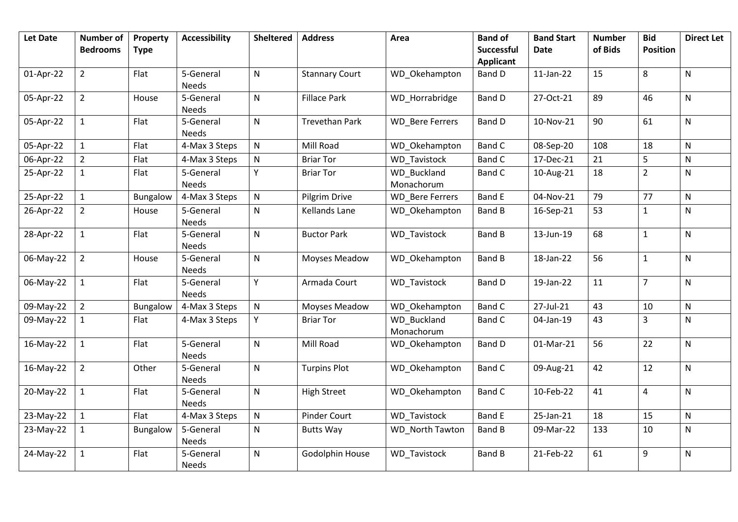| <b>Let Date</b> | <b>Number of</b><br><b>Bedrooms</b> | Property<br><b>Type</b> | <b>Accessibility</b>      | <b>Sheltered</b> | <b>Address</b>        | Area                             | <b>Band of</b><br><b>Successful</b> | <b>Band Start</b><br><b>Date</b> | <b>Number</b><br>of Bids | <b>Bid</b><br><b>Position</b> | <b>Direct Let</b> |
|-----------------|-------------------------------------|-------------------------|---------------------------|------------------|-----------------------|----------------------------------|-------------------------------------|----------------------------------|--------------------------|-------------------------------|-------------------|
|                 |                                     |                         |                           |                  |                       |                                  | <b>Applicant</b>                    |                                  |                          |                               |                   |
| 01-Apr-22       | $\overline{2}$                      | Flat                    | 5-General<br><b>Needs</b> | ${\sf N}$        | <b>Stannary Court</b> | WD_Okehampton                    | <b>Band D</b>                       | $11$ -Jan-22                     | 15                       | 8                             | ${\sf N}$         |
| 05-Apr-22       | $\overline{2}$                      | House                   | 5-General<br><b>Needs</b> | $\mathsf{N}$     | <b>Fillace Park</b>   | WD Horrabridge                   | <b>Band D</b>                       | 27-Oct-21                        | 89                       | 46                            | $\mathsf{N}$      |
| 05-Apr-22       | $\mathbf{1}$                        | Flat                    | 5-General<br><b>Needs</b> | $\mathsf{N}$     | <b>Trevethan Park</b> | <b>WD</b> Bere Ferrers           | <b>Band D</b>                       | 10-Nov-21                        | 90                       | 61                            | $\mathsf{N}$      |
| 05-Apr-22       | $\mathbf{1}$                        | Flat                    | 4-Max 3 Steps             | N                | Mill Road             | WD Okehampton                    | <b>Band C</b>                       | 08-Sep-20                        | 108                      | 18                            | N                 |
| 06-Apr-22       | $\overline{2}$                      | Flat                    | 4-Max 3 Steps             | $\mathsf{N}$     | <b>Briar Tor</b>      | <b>WD</b> Tavistock              | <b>Band C</b>                       | 17-Dec-21                        | 21                       | 5                             | ${\sf N}$         |
| 25-Apr-22       | $\mathbf{1}$                        | Flat                    | 5-General<br><b>Needs</b> | Y                | <b>Briar Tor</b>      | <b>WD Buckland</b><br>Monachorum | <b>Band C</b>                       | 10-Aug-21                        | 18                       | $\overline{2}$                | ${\sf N}$         |
| 25-Apr-22       | $\mathbf{1}$                        | Bungalow                | 4-Max 3 Steps             | ${\sf N}$        | Pilgrim Drive         | <b>WD</b> Bere Ferrers           | <b>Band E</b>                       | 04-Nov-21                        | 79                       | 77                            | ${\sf N}$         |
| 26-Apr-22       | $\overline{2}$                      | House                   | 5-General<br><b>Needs</b> | N                | <b>Kellands Lane</b>  | WD_Okehampton                    | <b>Band B</b>                       | 16-Sep-21                        | 53                       | $\mathbf{1}$                  | N                 |
| 28-Apr-22       | $\mathbf{1}$                        | Flat                    | 5-General<br><b>Needs</b> | $\mathsf{N}$     | <b>Buctor Park</b>    | WD_Tavistock                     | <b>Band B</b>                       | 13-Jun-19                        | 68                       | $\mathbf{1}$                  | N                 |
| 06-May-22       | $2^{\circ}$                         | House                   | 5-General<br><b>Needs</b> | $\mathsf{N}$     | Moyses Meadow         | WD Okehampton                    | Band B                              | 18-Jan-22                        | 56                       | $\mathbf{1}$                  | ${\sf N}$         |
| 06-May-22       | $\mathbf{1}$                        | Flat                    | 5-General<br><b>Needs</b> | Y                | Armada Court          | <b>WD</b> Tavistock              | <b>Band D</b>                       | 19-Jan-22                        | 11                       | $\overline{7}$                | ${\sf N}$         |
| 09-May-22       | $\overline{2}$                      | Bungalow                | 4-Max 3 Steps             | ${\sf N}$        | Moyses Meadow         | WD_Okehampton                    | <b>Band C</b>                       | 27-Jul-21                        | 43                       | 10                            | ${\sf N}$         |
| 09-May-22       | $\mathbf{1}$                        | Flat                    | 4-Max 3 Steps             | Y                | <b>Briar Tor</b>      | <b>WD Buckland</b><br>Monachorum | <b>Band C</b>                       | 04-Jan-19                        | 43                       | $\overline{3}$                | ${\sf N}$         |
| 16-May-22       | $\mathbf{1}$                        | Flat                    | 5-General<br><b>Needs</b> | $\mathsf{N}$     | Mill Road             | WD_Okehampton                    | <b>Band D</b>                       | 01-Mar-21                        | 56                       | 22                            | $\mathsf{N}$      |
| 16-May-22       | $\overline{2}$                      | Other                   | 5-General<br><b>Needs</b> | ${\sf N}$        | <b>Turpins Plot</b>   | WD Okehampton                    | <b>Band C</b>                       | 09-Aug-21                        | 42                       | 12                            | ${\sf N}$         |
| 20-May-22       | $\mathbf{1}$                        | Flat                    | 5-General<br><b>Needs</b> | $\mathsf{N}$     | <b>High Street</b>    | WD Okehampton                    | <b>Band C</b>                       | 10-Feb-22                        | 41                       | 4                             | $\mathsf{N}$      |
| 23-May-22       | $\mathbf{1}$                        | Flat                    | 4-Max 3 Steps             | $\mathsf{N}$     | <b>Pinder Court</b>   | <b>WD</b> Tavistock              | <b>Band E</b>                       | 25-Jan-21                        | 18                       | 15                            | N                 |
| 23-May-22       | $\mathbf{1}$                        | Bungalow                | 5-General<br>Needs        | $\mathsf{N}$     | <b>Butts Way</b>      | WD North Tawton                  | <b>Band B</b>                       | 09-Mar-22                        | 133                      | 10                            | ${\sf N}$         |
| 24-May-22       | $\mathbf{1}$                        | Flat                    | 5-General<br><b>Needs</b> | $\mathsf{N}$     | Godolphin House       | WD_Tavistock                     | <b>Band B</b>                       | 21-Feb-22                        | 61                       | 9                             | $\mathsf{N}$      |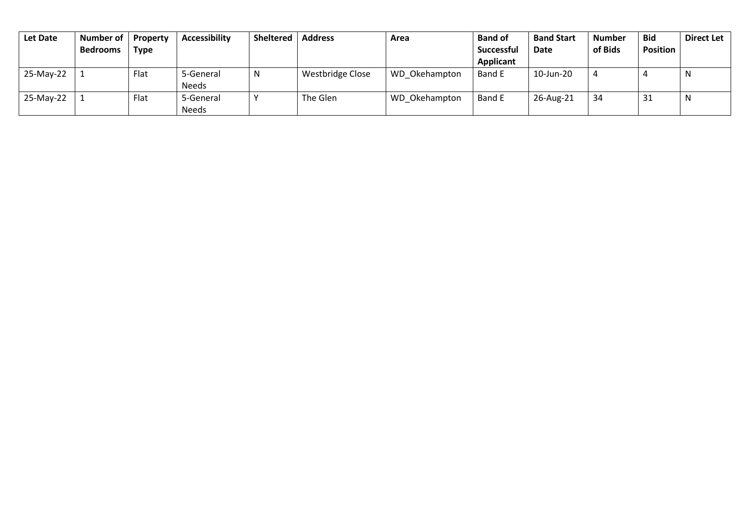| Let Date  | Number of       | Property    | <b>Accessibility</b> | <b>Sheltered</b> | <b>Address</b>   | Area          | <b>Band of</b>    | <b>Band Start</b> | <b>Number</b> | <b>Bid</b>      | <b>Direct Let</b> |
|-----------|-----------------|-------------|----------------------|------------------|------------------|---------------|-------------------|-------------------|---------------|-----------------|-------------------|
|           | <b>Bedrooms</b> | <b>Type</b> |                      |                  |                  |               | <b>Successful</b> | <b>Date</b>       | of Bids       | <b>Position</b> |                   |
|           |                 |             |                      |                  |                  |               | <b>Applicant</b>  |                   |               |                 |                   |
| 25-May-22 |                 | Flat        | 5-General            | N                | Westbridge Close | WD Okehampton | Band E            | 10-Jun-20         |               |                 | N                 |
|           |                 |             | <b>Needs</b>         |                  |                  |               |                   |                   |               |                 |                   |
| 25-May-22 |                 | Flat        | 5-General            |                  | The Glen         | WD Okehampton | Band E            | 26-Aug-21         | 34            | 31              | -N                |
|           |                 |             | <b>Needs</b>         |                  |                  |               |                   |                   |               |                 |                   |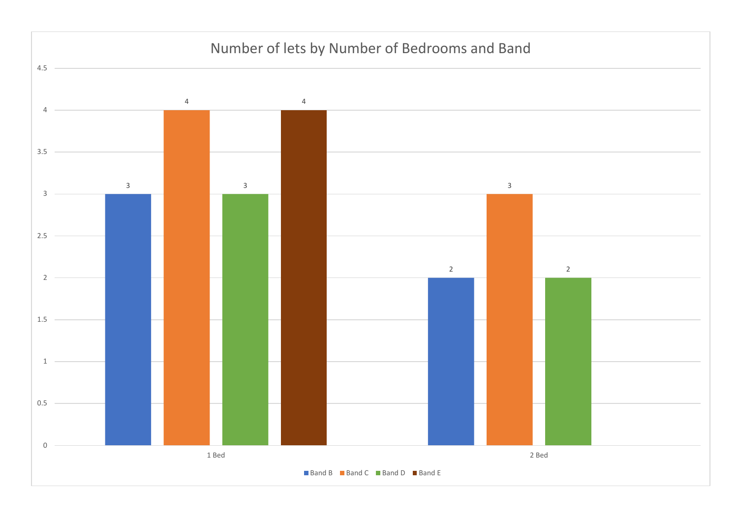